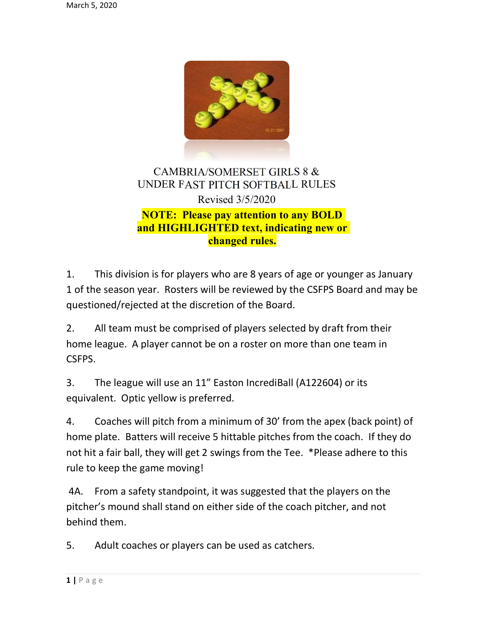

## CAMBRIA/SOMERSET GIRLS 8 & UNDER FAST PITCH SOFTBALL RULES Revised 3/5/2020 NOTE: Please pay attention to any BOLD and HIGHLIGHTED text, indicating new or changed rules.

1. This division is for players who are 8 years of age or younger as January 1 of the season year. Rosters will be reviewed by the CSFPS Board and may be questioned/rejected at the discretion of the Board.

2. All team must be comprised of players selected by draft from their home league. A player cannot be on a roster on more than one team in CSFPS.

3. The league will use an 11" Easton IncrediBall (A122604) or its equivalent. Optic yellow is preferred.

4. Coaches will pitch from a minimum of 30' from the apex (back point) of home plate. Batters will receive 5 hittable pitches from the coach. If they do not hit a fair ball, they will get 2 swings from the Tee. \*Please adhere to this rule to keep the game moving!

 4A. From a safety standpoint, it was suggested that the players on the pitcher's mound shall stand on either side of the coach pitcher, and not behind them.

5. Adult coaches or players can be used as catchers.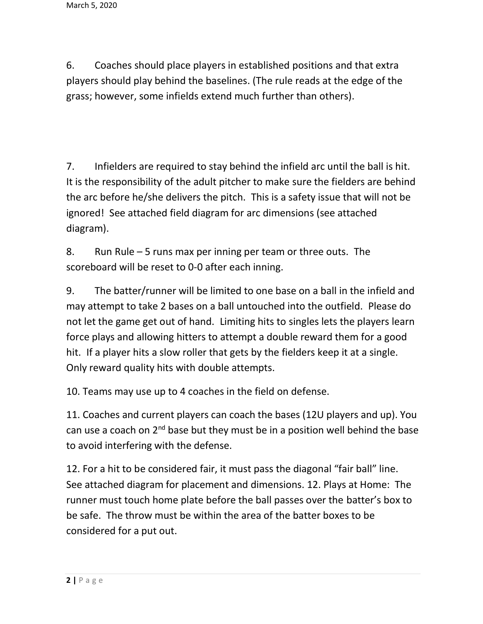6. Coaches should place players in established positions and that extra players should play behind the baselines. (The rule reads at the edge of the grass; however, some infields extend much further than others).

7. Infielders are required to stay behind the infield arc until the ball is hit. It is the responsibility of the adult pitcher to make sure the fielders are behind the arc before he/she delivers the pitch. This is a safety issue that will not be ignored! See attached field diagram for arc dimensions (see attached diagram).

8. Run Rule – 5 runs max per inning per team or three outs. The scoreboard will be reset to 0-0 after each inning.

9. The batter/runner will be limited to one base on a ball in the infield and may attempt to take 2 bases on a ball untouched into the outfield. Please do not let the game get out of hand. Limiting hits to singles lets the players learn force plays and allowing hitters to attempt a double reward them for a good hit. If a player hits a slow roller that gets by the fielders keep it at a single. Only reward quality hits with double attempts.

10. Teams may use up to 4 coaches in the field on defense.

11. Coaches and current players can coach the bases (12U players and up). You can use a coach on  $2^{nd}$  base but they must be in a position well behind the base to avoid interfering with the defense.

12. For a hit to be considered fair, it must pass the diagonal "fair ball" line. See attached diagram for placement and dimensions. 12. Plays at Home: The runner must touch home plate before the ball passes over the batter's box to be safe. The throw must be within the area of the batter boxes to be considered for a put out.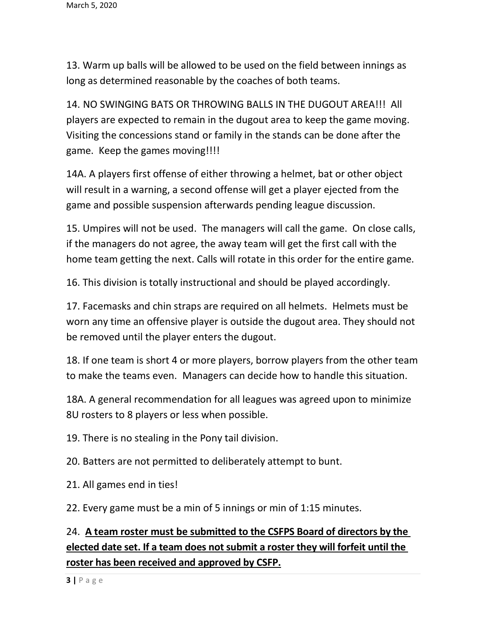13. Warm up balls will be allowed to be used on the field between innings as long as determined reasonable by the coaches of both teams.

14. NO SWINGING BATS OR THROWING BALLS IN THE DUGOUT AREA!!! All players are expected to remain in the dugout area to keep the game moving. Visiting the concessions stand or family in the stands can be done after the game. Keep the games moving!!!!

14A. A players first offense of either throwing a helmet, bat or other object will result in a warning, a second offense will get a player ejected from the game and possible suspension afterwards pending league discussion.

15. Umpires will not be used. The managers will call the game. On close calls, if the managers do not agree, the away team will get the first call with the home team getting the next. Calls will rotate in this order for the entire game.

16. This division is totally instructional and should be played accordingly.

17. Facemasks and chin straps are required on all helmets. Helmets must be worn any time an offensive player is outside the dugout area. They should not be removed until the player enters the dugout.

18. If one team is short 4 or more players, borrow players from the other team to make the teams even. Managers can decide how to handle this situation.

18A. A general recommendation for all leagues was agreed upon to minimize 8U rosters to 8 players or less when possible.

19. There is no stealing in the Pony tail division.

20. Batters are not permitted to deliberately attempt to bunt.

21. All games end in ties!

22. Every game must be a min of 5 innings or min of 1:15 minutes.

## 24. A team roster must be submitted to the CSFPS Board of directors by the elected date set. If a team does not submit a roster they will forfeit until the roster has been received and approved by CSFP.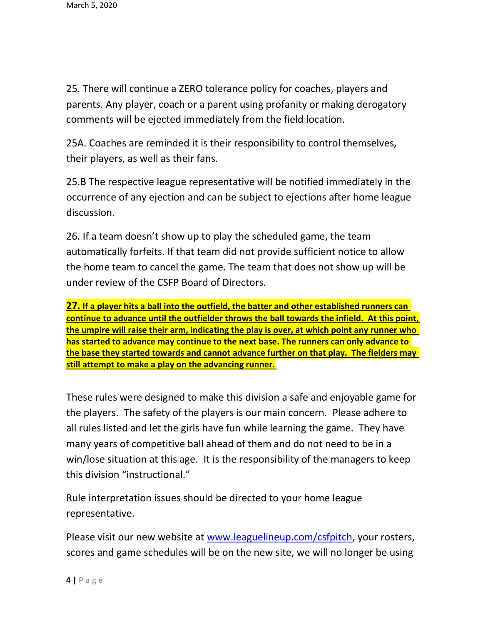25. There will continue a ZERO tolerance policy for coaches, players and parents. Any player, coach or a parent using profanity or making derogatory comments will be ejected immediately from the field location.

25A. Coaches are reminded it is their responsibility to control themselves, their players, as well as their fans.

25.B The respective league representative will be notified immediately in the occurrence of any ejection and can be subject to ejections after home league discussion.

26. If a team doesn't show up to play the scheduled game, the team automatically forfeits. If that team did not provide sufficient notice to allow the home team to cancel the game. The team that does not show up will be under review of the CSFP Board of Directors.

27. If a player hits a ball into the outfield, the batter and other established runners can continue to advance until the outfielder throws the ball towards the infield. At this point, the umpire will raise their arm, indicating the play is over, at which point any runner who has started to advance may continue to the next base. The runners can only advance to the base they started towards and cannot advance further on that play. The fielders may still attempt to make a play on the advancing runner.

These rules were designed to make this division a safe and enjoyable game for the players. The safety of the players is our main concern. Please adhere to all rules listed and let the girls have fun while learning the game. They have many years of competitive ball ahead of them and do not need to be in a win/lose situation at this age. It is the responsibility of the managers to keep this division "instructional."

Rule interpretation issues should be directed to your home league representative.

Please visit our new website at www.leaguelineup.com/csfpitch, your rosters, scores and game schedules will be on the new site, we will no longer be using